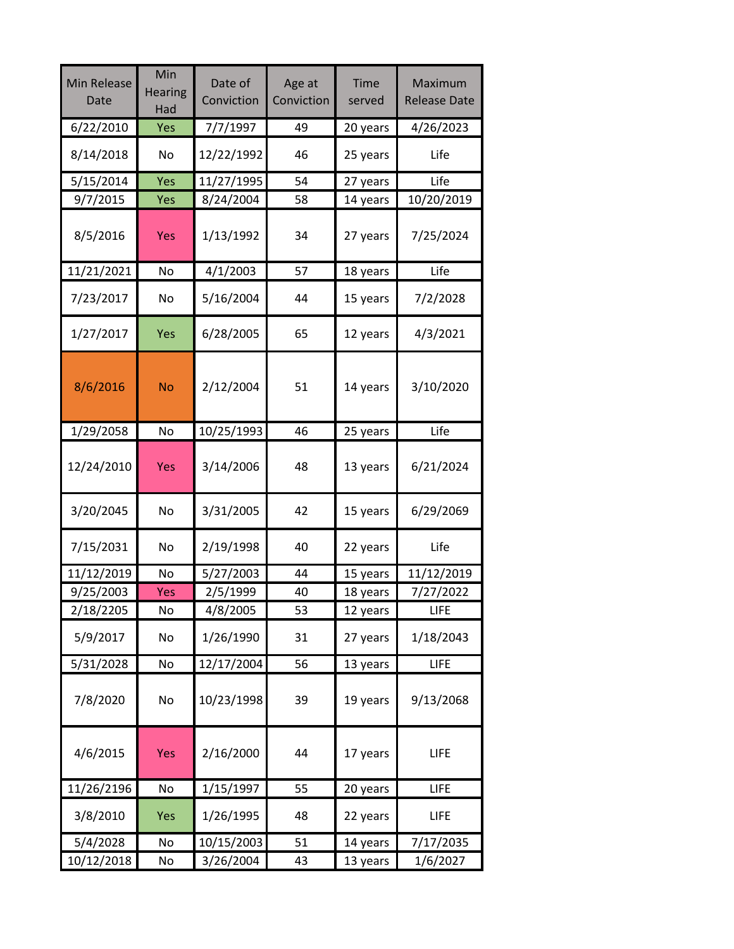| <b>Min Release</b><br>Date | Min<br><b>Hearing</b><br>Had | Date of<br>Conviction | Age at<br>Conviction | <b>Time</b><br>served | Maximum<br><b>Release Date</b> |
|----------------------------|------------------------------|-----------------------|----------------------|-----------------------|--------------------------------|
| 6/22/2010                  | Yes                          | 7/7/1997              | 49                   | 20 years              | 4/26/2023                      |
| 8/14/2018                  | No                           | 12/22/1992            | 46                   | 25 years              | Life                           |
| 5/15/2014                  | Yes                          | 11/27/1995            | 54                   | 27 years              | Life                           |
| 9/7/2015                   | Yes                          | 8/24/2004             | 58                   | 14 years              | 10/20/2019                     |
| 8/5/2016                   | Yes                          | 1/13/1992             | 34                   | 27 years              | 7/25/2024                      |
| 11/21/2021                 | No                           | 4/1/2003              | 57                   | 18 years              | Life                           |
| 7/23/2017                  | No                           | 5/16/2004             | 44                   | 15 years              | 7/2/2028                       |
| 1/27/2017                  | Yes                          | 6/28/2005             | 65                   | 12 years              | 4/3/2021                       |
| 8/6/2016                   | <b>No</b>                    | 2/12/2004             | 51                   | 14 years              | 3/10/2020                      |
| 1/29/2058                  | No                           | 10/25/1993            | 46                   | 25 years              | Life                           |
| 12/24/2010                 | <b>Yes</b>                   | 3/14/2006             | 48                   | 13 years              | 6/21/2024                      |
| 3/20/2045                  | <b>No</b>                    | 3/31/2005             | 42                   | 15 years              | 6/29/2069                      |
| 7/15/2031                  | No                           | 2/19/1998             | 40                   | 22 years              | Life                           |
| 11/12/2019                 | No                           | 5/27/2003             | 44                   | 15 years              | 11/12/2019                     |
| 9/25/2003                  | <b>Yes</b>                   | 2/5/1999              | 40                   | 18 years              | 7/27/2022                      |
| 2/18/2205                  | No                           | 4/8/2005              | 53                   | 12 years              | <b>LIFE</b>                    |
| 5/9/2017                   | No                           | 1/26/1990             | 31                   | 27 years              | 1/18/2043                      |
| 5/31/2028                  | No                           | 12/17/2004            | 56                   | 13 years              | LIFE                           |
| 7/8/2020                   | No                           | 10/23/1998            | 39                   | 19 years              | 9/13/2068                      |
| 4/6/2015                   | <b>Yes</b>                   | 2/16/2000             | 44                   | 17 years              | <b>LIFE</b>                    |
| 11/26/2196                 | No                           | 1/15/1997             | 55                   | 20 years              | <b>LIFE</b>                    |
| 3/8/2010                   | Yes                          | 1/26/1995             | 48                   | 22 years              | <b>LIFE</b>                    |
| 5/4/2028                   | No                           | 10/15/2003            | 51                   | 14 years              | 7/17/2035                      |
| 10/12/2018                 | $\operatorname{\mathsf{No}}$ | 3/26/2004             | 43                   | 13 years              | 1/6/2027                       |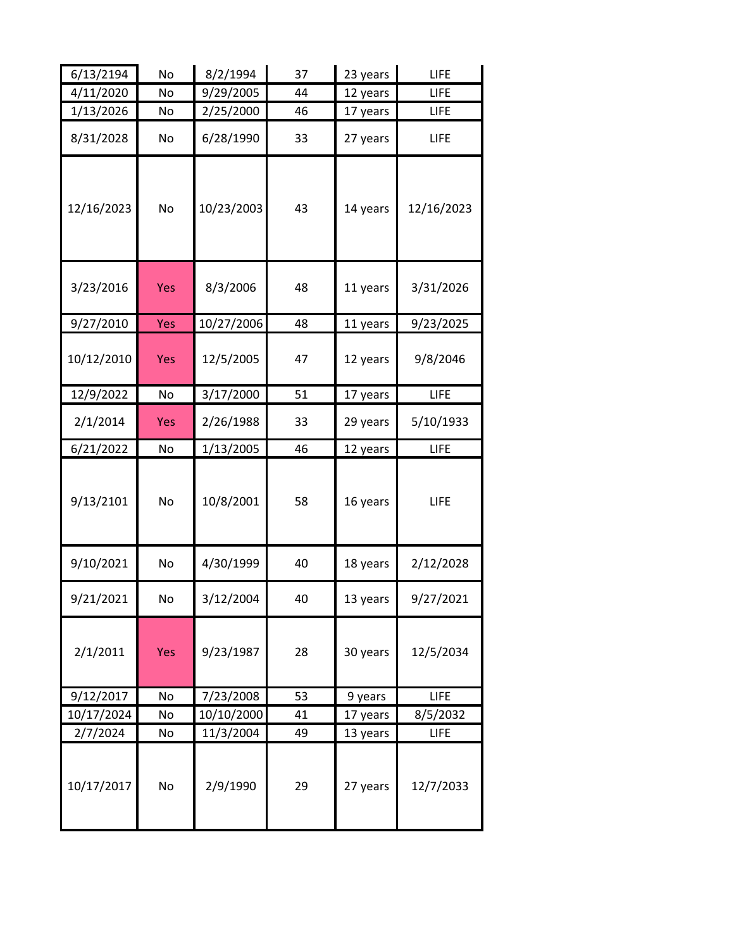| 6/13/2194  | No             | 8/2/1994   | 37 | 23 years | LIFE       |
|------------|----------------|------------|----|----------|------------|
| 4/11/2020  | No             | 9/29/2005  | 44 | 12 years | LIFE       |
| 1/13/2026  | No             | 2/25/2000  | 46 | 17 years | LIFE       |
| 8/31/2028  | No             | 6/28/1990  | 33 | 27 years | LIFE       |
| 12/16/2023 | No             | 10/23/2003 | 43 | 14 years | 12/16/2023 |
| 3/23/2016  | Yes            | 8/3/2006   | 48 | 11 years | 3/31/2026  |
| 9/27/2010  | <b>Yes</b>     | 10/27/2006 | 48 | 11 years | 9/23/2025  |
| 10/12/2010 | Yes            | 12/5/2005  | 47 | 12 years | 9/8/2046   |
| 12/9/2022  | N <sub>o</sub> | 3/17/2000  | 51 | 17 years | LIFE       |
| 2/1/2014   | <b>Yes</b>     | 2/26/1988  | 33 | 29 years | 5/10/1933  |
| 6/21/2022  | No             | 1/13/2005  | 46 | 12 years | LIFE       |
| 9/13/2101  | No             | 10/8/2001  | 58 | 16 years | LIFE       |
| 9/10/2021  | No             | 4/30/1999  | 40 | 18 years | 2/12/2028  |
| 9/21/2021  | No             | 3/12/2004  | 40 | 13 years | 9/27/2021  |
| 2/1/2011   | <b>Yes</b>     | 9/23/1987  | 28 | 30 years | 12/5/2034  |
| 9/12/2017  | No             | 7/23/2008  | 53 | 9 years  | LIFE       |
| 10/17/2024 | No             | 10/10/2000 | 41 | 17 years | 8/5/2032   |
| 2/7/2024   | No             | 11/3/2004  | 49 | 13 years | LIFE       |
| 10/17/2017 | No             | 2/9/1990   | 29 | 27 years | 12/7/2033  |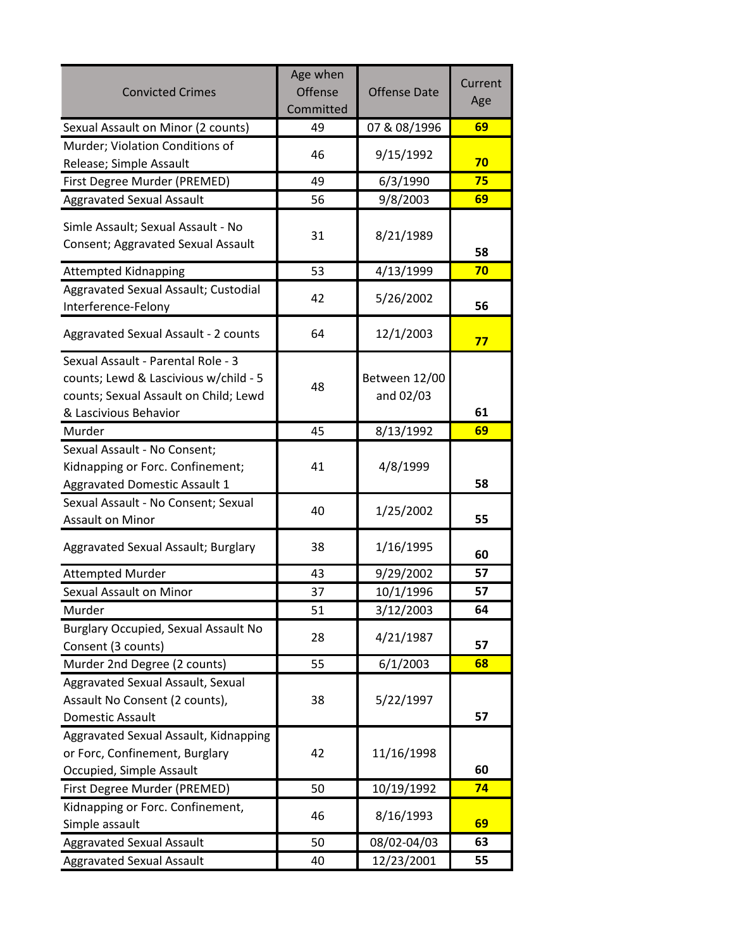| <b>Convicted Crimes</b>                                                                                                                       | Age when<br><b>Offense</b><br>Committed | <b>Offense Date</b>        | Current<br>Age |
|-----------------------------------------------------------------------------------------------------------------------------------------------|-----------------------------------------|----------------------------|----------------|
| Sexual Assault on Minor (2 counts)                                                                                                            | 49                                      | 07 & 08/1996               | 69             |
| Murder; Violation Conditions of<br>Release; Simple Assault                                                                                    | 46                                      | 9/15/1992                  | 70             |
| First Degree Murder (PREMED)                                                                                                                  | 49                                      | 6/3/1990                   | 75             |
| <b>Aggravated Sexual Assault</b>                                                                                                              | 56                                      | 9/8/2003                   | 69             |
| Simle Assault; Sexual Assault - No<br>Consent; Aggravated Sexual Assault                                                                      | 31                                      | 8/21/1989                  | 58             |
| <b>Attempted Kidnapping</b>                                                                                                                   | 53                                      | 4/13/1999                  | 70             |
| Aggravated Sexual Assault; Custodial<br>Interference-Felony                                                                                   | 42                                      | 5/26/2002                  | 56             |
| Aggravated Sexual Assault - 2 counts                                                                                                          | 64                                      | 12/1/2003                  | 77             |
| Sexual Assault - Parental Role - 3<br>counts; Lewd & Lascivious w/child - 5<br>counts; Sexual Assault on Child; Lewd<br>& Lascivious Behavior | 48                                      | Between 12/00<br>and 02/03 | 61             |
| Murder                                                                                                                                        | 45                                      | 8/13/1992                  | 69             |
| Sexual Assault - No Consent;<br>Kidnapping or Forc. Confinement;<br><b>Aggravated Domestic Assault 1</b>                                      | 41                                      | 4/8/1999                   | 58             |
| Sexual Assault - No Consent; Sexual<br>Assault on Minor                                                                                       | 40                                      | 1/25/2002                  | 55             |
| Aggravated Sexual Assault; Burglary                                                                                                           | 38                                      | 1/16/1995                  | 60             |
| <b>Attempted Murder</b>                                                                                                                       | 43                                      | 9/29/2002                  | 57             |
| Sexual Assault on Minor                                                                                                                       | 37                                      | 10/1/1996                  | 57             |
| Murder                                                                                                                                        | 51                                      | 3/12/2003                  | 64             |
| Burglary Occupied, Sexual Assault No<br>Consent (3 counts)                                                                                    | 28                                      | 4/21/1987                  | 57             |
| Murder 2nd Degree (2 counts)                                                                                                                  | 55                                      | 6/1/2003                   | 68             |
| Aggravated Sexual Assault, Sexual<br>Assault No Consent (2 counts),<br><b>Domestic Assault</b>                                                | 38                                      | 5/22/1997                  | 57             |
| Aggravated Sexual Assault, Kidnapping<br>or Forc, Confinement, Burglary<br>Occupied, Simple Assault                                           | 42                                      | 11/16/1998                 | 60             |
| First Degree Murder (PREMED)                                                                                                                  | 50                                      | 10/19/1992                 | 74             |
| Kidnapping or Forc. Confinement,<br>Simple assault                                                                                            | 46                                      | 8/16/1993                  | 69             |
| <b>Aggravated Sexual Assault</b>                                                                                                              | 50                                      | 08/02-04/03                | 63             |
| <b>Aggravated Sexual Assault</b>                                                                                                              | 40                                      | 12/23/2001                 | 55             |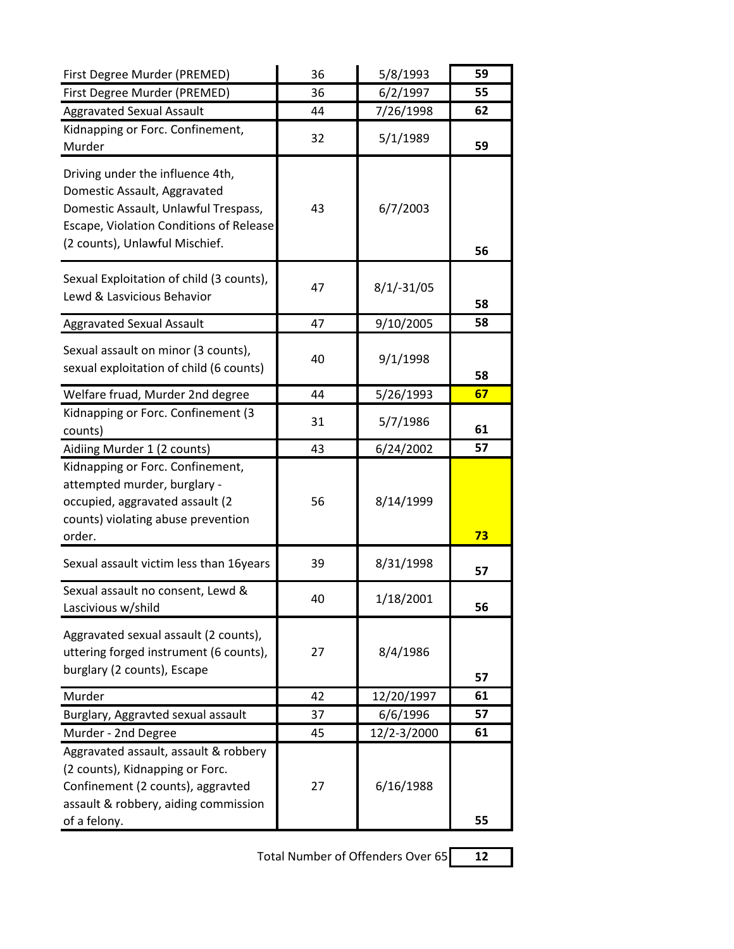| First Degree Murder (PREMED)                                                                                                                                                          | 36 | 5/8/1993     | 59 |
|---------------------------------------------------------------------------------------------------------------------------------------------------------------------------------------|----|--------------|----|
| First Degree Murder (PREMED)                                                                                                                                                          | 36 | 6/2/1997     | 55 |
| <b>Aggravated Sexual Assault</b>                                                                                                                                                      | 44 | 7/26/1998    | 62 |
| Kidnapping or Forc. Confinement,<br>Murder                                                                                                                                            | 32 | 5/1/1989     | 59 |
| Driving under the influence 4th,<br>Domestic Assault, Aggravated<br>Domestic Assault, Unlawful Trespass,<br>Escape, Violation Conditions of Release<br>(2 counts), Unlawful Mischief. | 43 | 6/7/2003     | 56 |
| Sexual Exploitation of child (3 counts),<br>Lewd & Lasvicious Behavior                                                                                                                | 47 | $8/1/-31/05$ | 58 |
| <b>Aggravated Sexual Assault</b>                                                                                                                                                      | 47 | 9/10/2005    | 58 |
| Sexual assault on minor (3 counts),<br>sexual exploitation of child (6 counts)                                                                                                        | 40 | 9/1/1998     | 58 |
| Welfare fruad, Murder 2nd degree                                                                                                                                                      | 44 | 5/26/1993    | 67 |
| Kidnapping or Forc. Confinement (3<br>counts)                                                                                                                                         | 31 | 5/7/1986     | 61 |
| Aidiing Murder 1 (2 counts)                                                                                                                                                           | 43 | 6/24/2002    | 57 |
| Kidnapping or Forc. Confinement,<br>attempted murder, burglary -<br>occupied, aggravated assault (2<br>counts) violating abuse prevention<br>order.                                   | 56 | 8/14/1999    | 73 |
| Sexual assault victim less than 16years                                                                                                                                               | 39 | 8/31/1998    | 57 |
| Sexual assault no consent, Lewd &<br>Lascivious w/shild                                                                                                                               | 40 | 1/18/2001    | 56 |
| Aggravated sexual assault (2 counts),<br>uttering forged instrument (6 counts),<br>burglary (2 counts), Escape                                                                        | 27 | 8/4/1986     | 57 |
| Murder                                                                                                                                                                                | 42 | 12/20/1997   | 61 |
| Burglary, Aggravted sexual assault                                                                                                                                                    | 37 | 6/6/1996     | 57 |
| Murder - 2nd Degree                                                                                                                                                                   | 45 | 12/2-3/2000  | 61 |
| Aggravated assault, assault & robbery<br>(2 counts), Kidnapping or Forc.<br>Confinement (2 counts), aggravted<br>assault & robbery, aiding commission<br>of a felony.                 | 27 | 6/16/1988    | 55 |

Total Number of Offenders Over 65 **12**